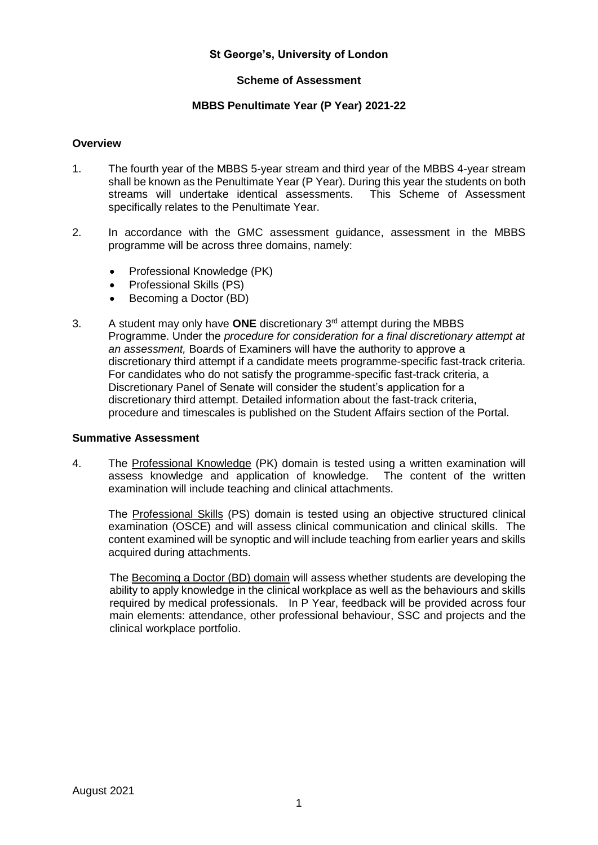## **St George's, University of London**

## **Scheme of Assessment**

#### **MBBS Penultimate Year (P Year) 2021-22**

#### **Overview**

- 1. The fourth year of the MBBS 5-year stream and third year of the MBBS 4-year stream shall be known as the Penultimate Year (P Year). During this year the students on both streams will undertake identical assessments. This Scheme of Assessment specifically relates to the Penultimate Year.
- 2. In accordance with the GMC assessment guidance, assessment in the MBBS programme will be across three domains, namely:
	- Professional Knowledge (PK)
	- Professional Skills (PS)
	- Becoming a Doctor (BD)
- 3. A student may only have **ONE** discretionary 3rd attempt during the MBBS Programme. Under the *procedure for consideration for a final discretionary attempt at an assessment,* Boards of Examiners will have the authority to approve a discretionary third attempt if a candidate meets programme-specific fast-track criteria. For candidates who do not satisfy the programme-specific fast-track criteria, a Discretionary Panel of Senate will consider the student's application for a discretionary third attempt. Detailed information about the fast-track criteria, procedure and timescales is published on the Student Affairs section of the Portal.

## **Summative Assessment**

4. The Professional Knowledge (PK) domain is tested using a written examination will assess knowledge and application of knowledge. The content of the written examination will include teaching and clinical attachments.

The Professional Skills (PS) domain is tested using an objective structured clinical examination (OSCE) and will assess clinical communication and clinical skills. The content examined will be synoptic and will include teaching from earlier years and skills acquired during attachments.

The Becoming a Doctor (BD) domain will assess whether students are developing the ability to apply knowledge in the clinical workplace as well as the behaviours and skills required by medical professionals. In P Year, feedback will be provided across four main elements: attendance, other professional behaviour, SSC and projects and the clinical workplace portfolio.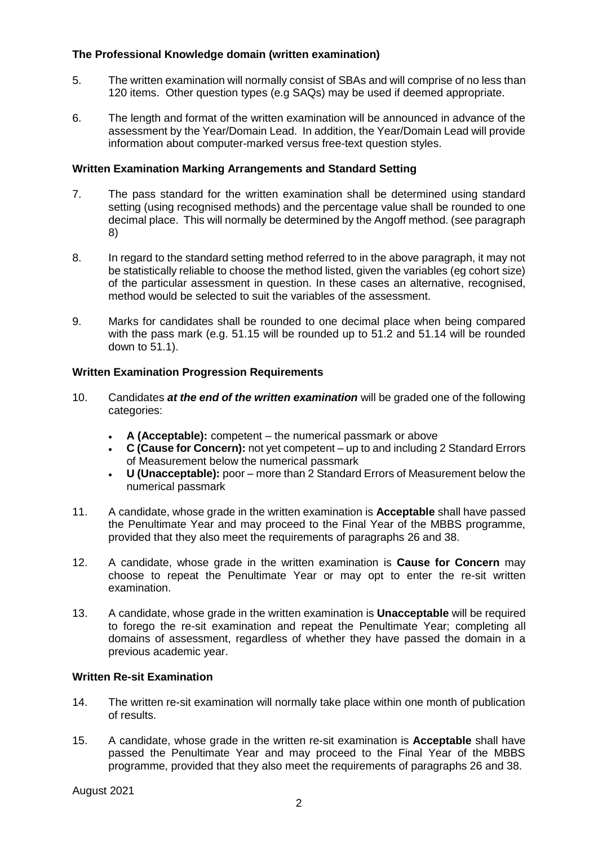# **The Professional Knowledge domain (written examination)**

- 5. The written examination will normally consist of SBAs and will comprise of no less than 120 items. Other question types (e.g SAQs) may be used if deemed appropriate.
- 6. The length and format of the written examination will be announced in advance of the assessment by the Year/Domain Lead. In addition, the Year/Domain Lead will provide information about computer-marked versus free-text question styles.

# **Written Examination Marking Arrangements and Standard Setting**

- 7. The pass standard for the written examination shall be determined using standard setting (using recognised methods) and the percentage value shall be rounded to one decimal place. This will normally be determined by the Angoff method. (see paragraph 8)
- 8. In regard to the standard setting method referred to in the above paragraph, it may not be statistically reliable to choose the method listed, given the variables (eg cohort size) of the particular assessment in question. In these cases an alternative, recognised, method would be selected to suit the variables of the assessment.
- 9. Marks for candidates shall be rounded to one decimal place when being compared with the pass mark (e.g. 51.15 will be rounded up to 51.2 and 51.14 will be rounded down to 51.1).

# **Written Examination Progression Requirements**

- 10. Candidates *at the end of the written examination* will be graded one of the following categories:
	- **A (Acceptable):** competent the numerical passmark or above
	- **C (Cause for Concern):** not yet competent up to and including 2 Standard Errors of Measurement below the numerical passmark
	- **U (Unacceptable):** poor more than 2 Standard Errors of Measurement below the numerical passmark
- 11. A candidate, whose grade in the written examination is **Acceptable** shall have passed the Penultimate Year and may proceed to the Final Year of the MBBS programme, provided that they also meet the requirements of paragraphs 26 and 38.
- 12. A candidate, whose grade in the written examination is **Cause for Concern** may choose to repeat the Penultimate Year or may opt to enter the re-sit written examination.
- 13. A candidate, whose grade in the written examination is **Unacceptable** will be required to forego the re-sit examination and repeat the Penultimate Year; completing all domains of assessment, regardless of whether they have passed the domain in a previous academic year.

## **Written Re-sit Examination**

- 14. The written re-sit examination will normally take place within one month of publication of results.
- 15. A candidate, whose grade in the written re-sit examination is **Acceptable** shall have passed the Penultimate Year and may proceed to the Final Year of the MBBS programme, provided that they also meet the requirements of paragraphs 26 and 38.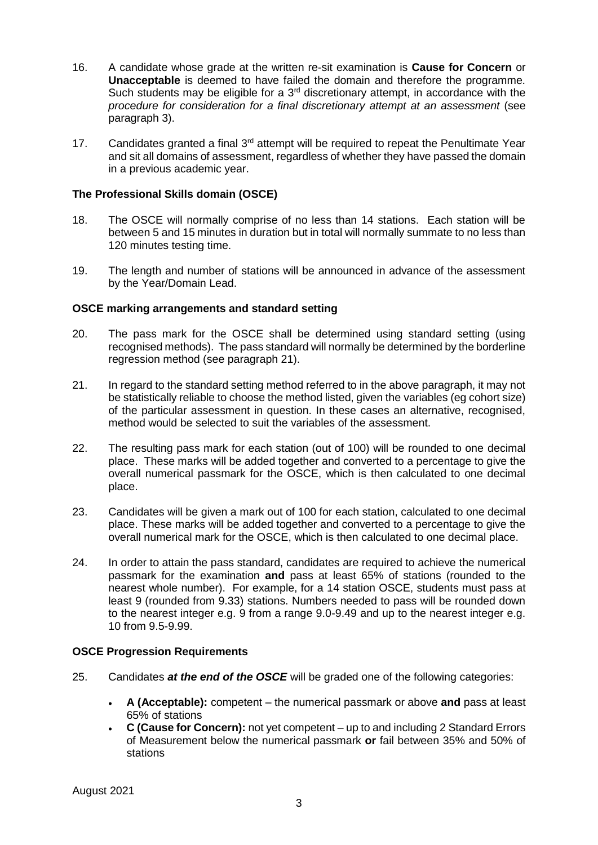- 16. A candidate whose grade at the written re-sit examination is **Cause for Concern** or **Unacceptable** is deemed to have failed the domain and therefore the programme. Such students may be eligible for a 3<sup>rd</sup> discretionary attempt, in accordance with the *procedure for consideration for a final discretionary attempt at an assessment* (see paragraph 3).
- 17. Candidates granted a final 3<sup>rd</sup> attempt will be required to repeat the Penultimate Year and sit all domains of assessment, regardless of whether they have passed the domain in a previous academic year.

# **The Professional Skills domain (OSCE)**

- 18. The OSCE will normally comprise of no less than 14 stations. Each station will be between 5 and 15 minutes in duration but in total will normally summate to no less than 120 minutes testing time.
- 19. The length and number of stations will be announced in advance of the assessment by the Year/Domain Lead.

## **OSCE marking arrangements and standard setting**

- 20. The pass mark for the OSCE shall be determined using standard setting (using recognised methods). The pass standard will normally be determined by the borderline regression method (see paragraph 21).
- 21. In regard to the standard setting method referred to in the above paragraph, it may not be statistically reliable to choose the method listed, given the variables (eg cohort size) of the particular assessment in question. In these cases an alternative, recognised, method would be selected to suit the variables of the assessment.
- 22. The resulting pass mark for each station (out of 100) will be rounded to one decimal place. These marks will be added together and converted to a percentage to give the overall numerical passmark for the OSCE, which is then calculated to one decimal place.
- 23. Candidates will be given a mark out of 100 for each station, calculated to one decimal place. These marks will be added together and converted to a percentage to give the overall numerical mark for the OSCE, which is then calculated to one decimal place.
- 24. In order to attain the pass standard, candidates are required to achieve the numerical passmark for the examination **and** pass at least 65% of stations (rounded to the nearest whole number). For example, for a 14 station OSCE, students must pass at least 9 (rounded from 9.33) stations. Numbers needed to pass will be rounded down to the nearest integer e.g. 9 from a range 9.0-9.49 and up to the nearest integer e.g. 10 from 9.5-9.99.

## **OSCE Progression Requirements**

- 25. Candidates *at the end of the OSCE* will be graded one of the following categories:
	- **A (Acceptable):** competent the numerical passmark or above **and** pass at least 65% of stations
	- **C (Cause for Concern):** not yet competent up to and including 2 Standard Errors of Measurement below the numerical passmark **or** fail between 35% and 50% of stations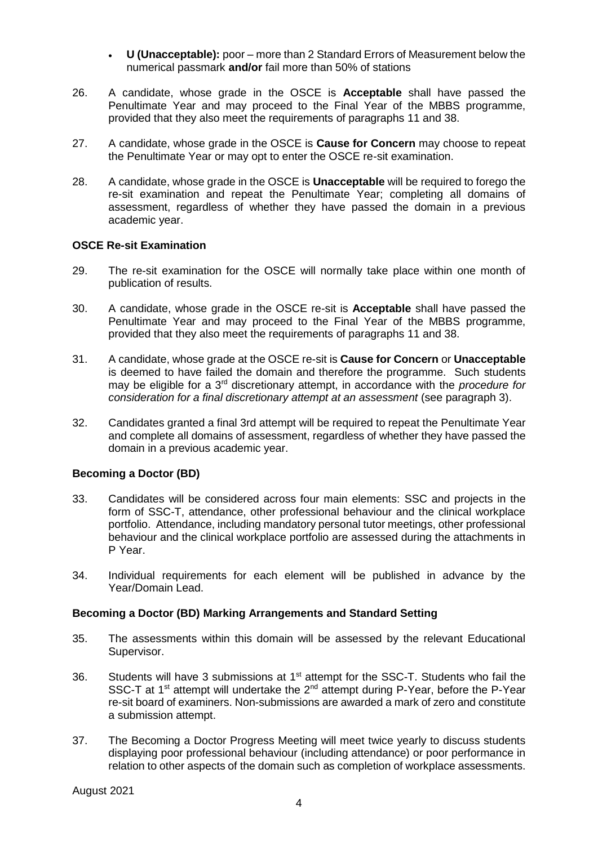- **U (Unacceptable):** poor more than 2 Standard Errors of Measurement below the numerical passmark **and/or** fail more than 50% of stations
- 26. A candidate, whose grade in the OSCE is **Acceptable** shall have passed the Penultimate Year and may proceed to the Final Year of the MBBS programme, provided that they also meet the requirements of paragraphs 11 and 38.
- 27. A candidate, whose grade in the OSCE is **Cause for Concern** may choose to repeat the Penultimate Year or may opt to enter the OSCE re-sit examination.
- 28. A candidate, whose grade in the OSCE is **Unacceptable** will be required to forego the re-sit examination and repeat the Penultimate Year; completing all domains of assessment, regardless of whether they have passed the domain in a previous academic year.

#### **OSCE Re-sit Examination**

- 29. The re-sit examination for the OSCE will normally take place within one month of publication of results.
- 30. A candidate, whose grade in the OSCE re-sit is **Acceptable** shall have passed the Penultimate Year and may proceed to the Final Year of the MBBS programme, provided that they also meet the requirements of paragraphs 11 and 38.
- 31. A candidate, whose grade at the OSCE re-sit is **Cause for Concern** or **Unacceptable** is deemed to have failed the domain and therefore the programme. Such students may be eligible for a 3rd discretionary attempt, in accordance with the *procedure for consideration for a final discretionary attempt at an assessment* (see paragraph 3).
- 32. Candidates granted a final 3rd attempt will be required to repeat the Penultimate Year and complete all domains of assessment, regardless of whether they have passed the domain in a previous academic year.

## **Becoming a Doctor (BD)**

- 33. Candidates will be considered across four main elements: SSC and projects in the form of SSC-T, attendance, other professional behaviour and the clinical workplace portfolio. Attendance, including mandatory personal tutor meetings, other professional behaviour and the clinical workplace portfolio are assessed during the attachments in P Year.
- 34. Individual requirements for each element will be published in advance by the Year/Domain Lead.

## **Becoming a Doctor (BD) Marking Arrangements and Standard Setting**

- 35. The assessments within this domain will be assessed by the relevant Educational Supervisor.
- 36. Students will have 3 submissions at 1<sup>st</sup> attempt for the SSC-T. Students who fail the SSC-T at 1<sup>st</sup> attempt will undertake the 2<sup>nd</sup> attempt during P-Year, before the P-Year re-sit board of examiners. Non-submissions are awarded a mark of zero and constitute a submission attempt.
- 37. The Becoming a Doctor Progress Meeting will meet twice yearly to discuss students displaying poor professional behaviour (including attendance) or poor performance in relation to other aspects of the domain such as completion of workplace assessments.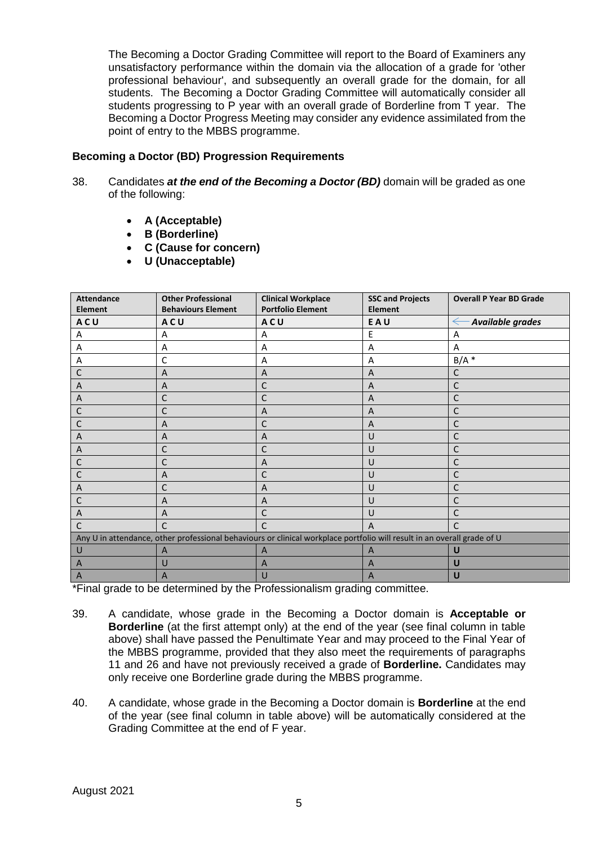The Becoming a Doctor Grading Committee will report to the Board of Examiners any unsatisfactory performance within the domain via the allocation of a grade for 'other professional behaviour', and subsequently an overall grade for the domain, for all students. The Becoming a Doctor Grading Committee will automatically consider all students progressing to P year with an overall grade of Borderline from T year. The Becoming a Doctor Progress Meeting may consider any evidence assimilated from the point of entry to the MBBS programme.

## **Becoming a Doctor (BD) Progression Requirements**

- 38. Candidates *at the end of the Becoming a Doctor (BD)* domain will be graded as one of the following:
	- **A (Acceptable)**
	- **B (Borderline)**
	- **C (Cause for concern)**
	- **U (Unacceptable)**

| <b>Attendance</b><br><b>Element</b>                                                                                     | <b>Other Professional</b><br><b>Behaviours Element</b> | <b>Clinical Workplace</b><br><b>Portfolio Element</b> | <b>SSC and Projects</b><br><b>Element</b> | <b>Overall P Year BD Grade</b> |
|-------------------------------------------------------------------------------------------------------------------------|--------------------------------------------------------|-------------------------------------------------------|-------------------------------------------|--------------------------------|
| <b>ACU</b>                                                                                                              | ACU                                                    | ACU                                                   | EAU                                       | Available grades               |
| A                                                                                                                       | A                                                      | A                                                     | F                                         | A                              |
| A                                                                                                                       | $\overline{A}$                                         | A                                                     | A                                         | $\overline{A}$                 |
| Α                                                                                                                       | C                                                      | A                                                     | A                                         | $B/A$ *                        |
| Ċ                                                                                                                       | $\overline{A}$                                         | $\overline{A}$                                        | A                                         | C                              |
| A                                                                                                                       | A                                                      | C                                                     | A                                         | C                              |
| A                                                                                                                       | C                                                      | C                                                     | A                                         | C                              |
| C                                                                                                                       | C                                                      | A                                                     | A                                         | С                              |
| C                                                                                                                       | $\overline{A}$                                         | C                                                     | $\overline{A}$                            | C                              |
| A                                                                                                                       | A                                                      | A                                                     | U                                         | C                              |
| A                                                                                                                       | C                                                      | C                                                     | U                                         | C                              |
| C                                                                                                                       | C                                                      | A                                                     | U                                         | C                              |
| Ċ                                                                                                                       | A                                                      | C                                                     | U                                         | C                              |
| A                                                                                                                       | C                                                      | A                                                     | U                                         | C                              |
| C                                                                                                                       | A                                                      | A                                                     | U                                         | C                              |
| A                                                                                                                       | A                                                      | С                                                     | U                                         | С                              |
| C                                                                                                                       | C                                                      | C                                                     | $\overline{A}$                            | C                              |
| Any U in attendance, other professional behaviours or clinical workplace portfolio will result in an overall grade of U |                                                        |                                                       |                                           |                                |
| U                                                                                                                       | A                                                      | A                                                     | A                                         | U                              |
| A                                                                                                                       | U                                                      | $\overline{A}$                                        | A                                         | U                              |
| A                                                                                                                       | A                                                      | U                                                     | A                                         | U                              |

\*Final grade to be determined by the Professionalism grading committee.

- 39. A candidate, whose grade in the Becoming a Doctor domain is **Acceptable or Borderline** (at the first attempt only) at the end of the year (see final column in table above) shall have passed the Penultimate Year and may proceed to the Final Year of the MBBS programme, provided that they also meet the requirements of paragraphs 11 and 26 and have not previously received a grade of **Borderline.** Candidates may only receive one Borderline grade during the MBBS programme.
- 40. A candidate, whose grade in the Becoming a Doctor domain is **Borderline** at the end of the year (see final column in table above) will be automatically considered at the Grading Committee at the end of F year.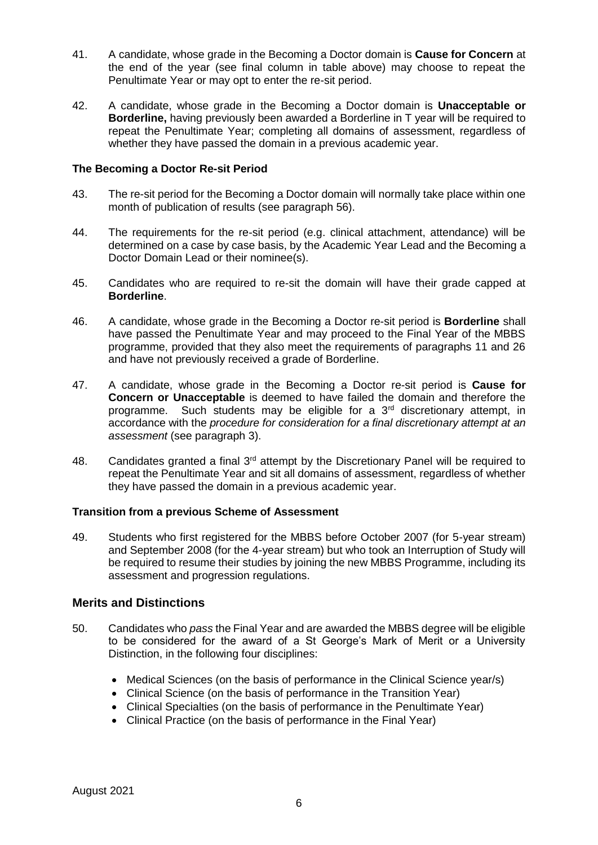- 41. A candidate, whose grade in the Becoming a Doctor domain is **Cause for Concern** at the end of the year (see final column in table above) may choose to repeat the Penultimate Year or may opt to enter the re-sit period.
- 42. A candidate, whose grade in the Becoming a Doctor domain is **Unacceptable or Borderline,** having previously been awarded a Borderline in T year will be required to repeat the Penultimate Year; completing all domains of assessment, regardless of whether they have passed the domain in a previous academic year.

#### **The Becoming a Doctor Re-sit Period**

- 43. The re-sit period for the Becoming a Doctor domain will normally take place within one month of publication of results (see paragraph 56).
- 44. The requirements for the re-sit period (e.g. clinical attachment, attendance) will be determined on a case by case basis, by the Academic Year Lead and the Becoming a Doctor Domain Lead or their nominee(s).
- 45. Candidates who are required to re-sit the domain will have their grade capped at **Borderline**.
- 46. A candidate, whose grade in the Becoming a Doctor re-sit period is **Borderline** shall have passed the Penultimate Year and may proceed to the Final Year of the MBBS programme, provided that they also meet the requirements of paragraphs 11 and 26 and have not previously received a grade of Borderline.
- 47. A candidate, whose grade in the Becoming a Doctor re-sit period is **Cause for Concern or Unacceptable** is deemed to have failed the domain and therefore the programme. Such students may be eligible for a  $3<sup>rd</sup>$  discretionary attempt, in accordance with the *procedure for consideration for a final discretionary attempt at an assessment* (see paragraph 3).
- 48. Candidates granted a final  $3<sup>rd</sup>$  attempt by the Discretionary Panel will be required to repeat the Penultimate Year and sit all domains of assessment, regardless of whether they have passed the domain in a previous academic year.

## **Transition from a previous Scheme of Assessment**

49. Students who first registered for the MBBS before October 2007 (for 5-year stream) and September 2008 (for the 4-year stream) but who took an Interruption of Study will be required to resume their studies by joining the new MBBS Programme, including its assessment and progression regulations.

# **Merits and Distinctions**

- 50. Candidates who *pass* the Final Year and are awarded the MBBS degree will be eligible to be considered for the award of a St George's Mark of Merit or a University Distinction, in the following four disciplines:
	- Medical Sciences (on the basis of performance in the Clinical Science year/s)
	- Clinical Science (on the basis of performance in the Transition Year)
	- Clinical Specialties (on the basis of performance in the Penultimate Year)
	- Clinical Practice (on the basis of performance in the Final Year)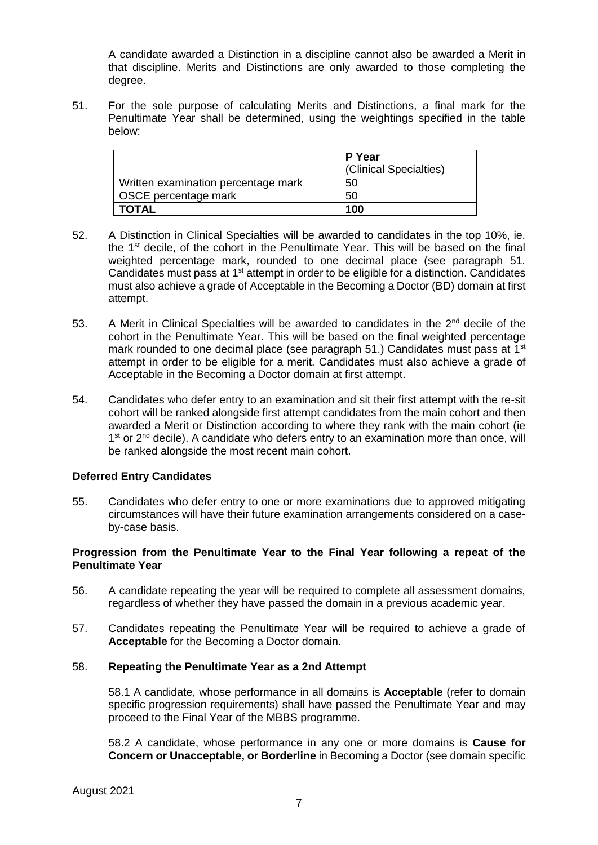A candidate awarded a Distinction in a discipline cannot also be awarded a Merit in that discipline. Merits and Distinctions are only awarded to those completing the degree.

51. For the sole purpose of calculating Merits and Distinctions, a final mark for the Penultimate Year shall be determined, using the weightings specified in the table below:

|                                     | P Year<br>(Clinical Specialties) |  |
|-------------------------------------|----------------------------------|--|
| Written examination percentage mark | 50                               |  |
| OSCE percentage mark                | 50                               |  |
| I TOTAL                             | 100                              |  |

- 52. A Distinction in Clinical Specialties will be awarded to candidates in the top 10%, ie. the 1st decile, of the cohort in the Penultimate Year. This will be based on the final weighted percentage mark, rounded to one decimal place (see paragraph 51. Candidates must pass at 1<sup>st</sup> attempt in order to be eligible for a distinction. Candidates must also achieve a grade of Acceptable in the Becoming a Doctor (BD) domain at first attempt.
- 53. A Merit in Clinical Specialties will be awarded to candidates in the 2<sup>nd</sup> decile of the cohort in the Penultimate Year. This will be based on the final weighted percentage mark rounded to one decimal place (see paragraph 51.) Candidates must pass at 1st attempt in order to be eligible for a merit. Candidates must also achieve a grade of Acceptable in the Becoming a Doctor domain at first attempt.
- 54. Candidates who defer entry to an examination and sit their first attempt with the re-sit cohort will be ranked alongside first attempt candidates from the main cohort and then awarded a Merit or Distinction according to where they rank with the main cohort (ie 1<sup>st</sup> or 2<sup>nd</sup> decile). A candidate who defers entry to an examination more than once, will be ranked alongside the most recent main cohort.

## **Deferred Entry Candidates**

55. Candidates who defer entry to one or more examinations due to approved mitigating circumstances will have their future examination arrangements considered on a caseby-case basis.

#### **Progression from the Penultimate Year to the Final Year following a repeat of the Penultimate Year**

- 56. A candidate repeating the year will be required to complete all assessment domains, regardless of whether they have passed the domain in a previous academic year.
- 57. Candidates repeating the Penultimate Year will be required to achieve a grade of **Acceptable** for the Becoming a Doctor domain.

#### 58. **Repeating the Penultimate Year as a 2nd Attempt**

58.1 A candidate, whose performance in all domains is **Acceptable** (refer to domain specific progression requirements) shall have passed the Penultimate Year and may proceed to the Final Year of the MBBS programme.

58.2 A candidate, whose performance in any one or more domains is **Cause for Concern or Unacceptable, or Borderline** in Becoming a Doctor (see domain specific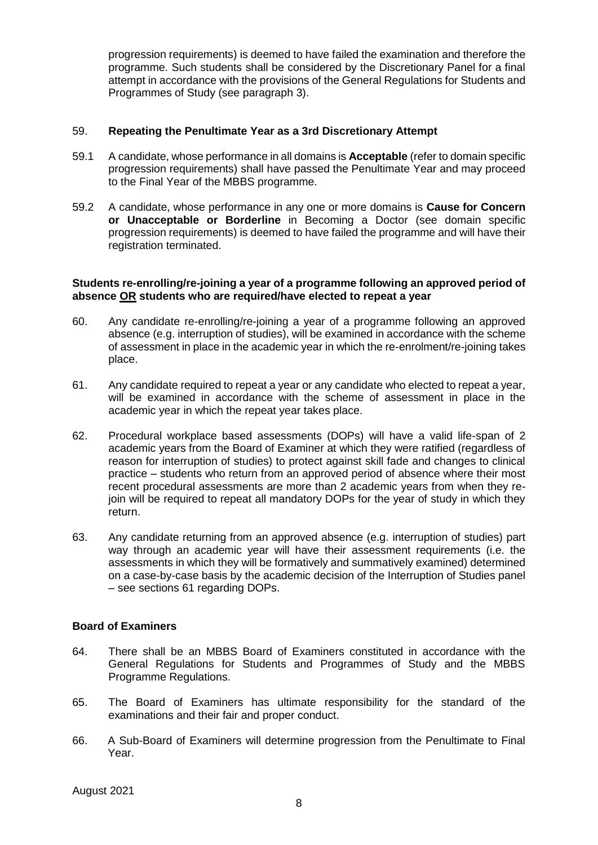progression requirements) is deemed to have failed the examination and therefore the programme. Such students shall be considered by the Discretionary Panel for a final attempt in accordance with the provisions of the General Regulations for Students and Programmes of Study (see paragraph 3).

#### 59. **Repeating the Penultimate Year as a 3rd Discretionary Attempt**

- 59.1 A candidate, whose performance in all domains is **Acceptable** (refer to domain specific progression requirements) shall have passed the Penultimate Year and may proceed to the Final Year of the MBBS programme.
- 59.2 A candidate, whose performance in any one or more domains is **Cause for Concern or Unacceptable or Borderline** in Becoming a Doctor (see domain specific progression requirements) is deemed to have failed the programme and will have their registration terminated.

#### **Students re-enrolling/re-joining a year of a programme following an approved period of absence OR students who are required/have elected to repeat a year**

- 60. Any candidate re-enrolling/re-joining a year of a programme following an approved absence (e.g. interruption of studies), will be examined in accordance with the scheme of assessment in place in the academic year in which the re-enrolment/re-joining takes place.
- 61. Any candidate required to repeat a year or any candidate who elected to repeat a year, will be examined in accordance with the scheme of assessment in place in the academic year in which the repeat year takes place.
- 62. Procedural workplace based assessments (DOPs) will have a valid life-span of 2 academic years from the Board of Examiner at which they were ratified (regardless of reason for interruption of studies) to protect against skill fade and changes to clinical practice – students who return from an approved period of absence where their most recent procedural assessments are more than 2 academic years from when they rejoin will be required to repeat all mandatory DOPs for the year of study in which they return.
- 63. Any candidate returning from an approved absence (e.g. interruption of studies) part way through an academic year will have their assessment requirements (i.e. the assessments in which they will be formatively and summatively examined) determined on a case-by-case basis by the academic decision of the Interruption of Studies panel – see sections 61 regarding DOPs.

## **Board of Examiners**

- 64. There shall be an MBBS Board of Examiners constituted in accordance with the General Regulations for Students and Programmes of Study and the MBBS Programme Regulations.
- 65. The Board of Examiners has ultimate responsibility for the standard of the examinations and their fair and proper conduct.
- 66. A Sub-Board of Examiners will determine progression from the Penultimate to Final Year.

August 2021